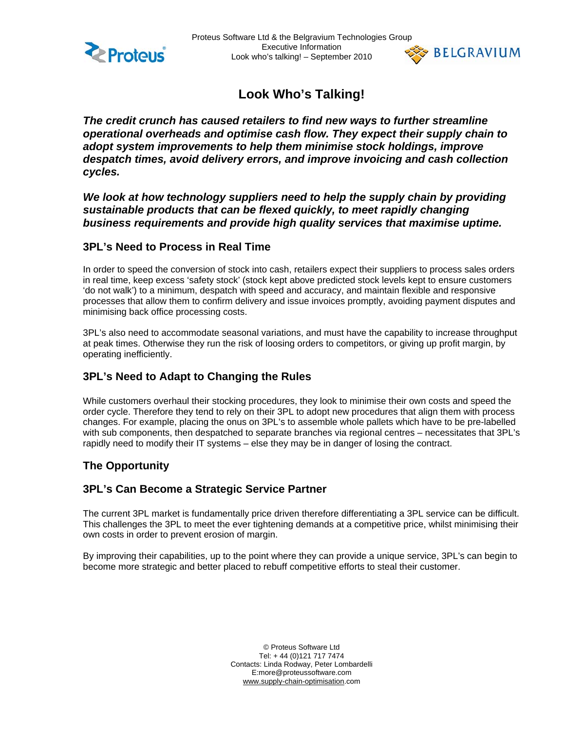



**Look Who's Talking!**

*The credit crunch has caused retailers to find new ways to further streamline operational overheads and optimise cash flow. They expect their supply chain to adopt system improvements to help them minimise stock holdings, improve despatch times, avoid delivery errors, and improve invoicing and cash collection cycles.* 

We look at how technology suppliers need to help the supply chain by providing *sustainable products that can be flexed quickly, to meet rapidly changing business requirements and provide high quality services that maximise uptime.* 

#### **3PL's Need to Process in Real Time**

In order to speed the conversion of stock into cash, retailers expect their suppliers to process sales orders in real time, keep excess 'safety stock' (stock kept above predicted stock levels kept to ensure customers 'do not walk') to a minimum, despatch with speed and accuracy, and maintain flexible and responsive processes that allow them to confirm delivery and issue invoices promptly, avoiding payment disputes and minimising back office processing costs.

3PL's also need to accommodate seasonal variations, and must have the capability to increase throughput at peak times. Otherwise they run the risk of loosing orders to competitors, or giving up profit margin, by operating inefficiently.

# **3PL's Need to Adapt to Changing the Rules**

While customers overhaul their stocking procedures, they look to minimise their own costs and speed the order cycle. Therefore they tend to rely on their 3PL to adopt new procedures that align them with process changes. For example, placing the onus on 3PL's to assemble whole pallets which have to be pre-labelled with sub components, then despatched to separate branches via regional centres – necessitates that 3PL's rapidly need to modify their IT systems – else they may be in danger of losing the contract.

## **The Opportunity**

## **3PL's Can Become a Strategic Service Partner**

The current 3PL market is fundamentally price driven therefore differentiating a 3PL service can be difficult. This challenges the 3PL to meet the ever tightening demands at a competitive price, whilst minimising their own costs in order to prevent erosion of margin.

By improving their capabilities, up to the point where they can provide a unique service, 3PL's can begin to become more strategic and better placed to rebuff competitive efforts to steal their customer.

> © Proteus Software Ltd Tel: + 44 (0)121 717 7474 Contacts: Linda Rodway, Peter Lombardelli E:more@proteussoftware.com www.supply-chain-optimisation.com